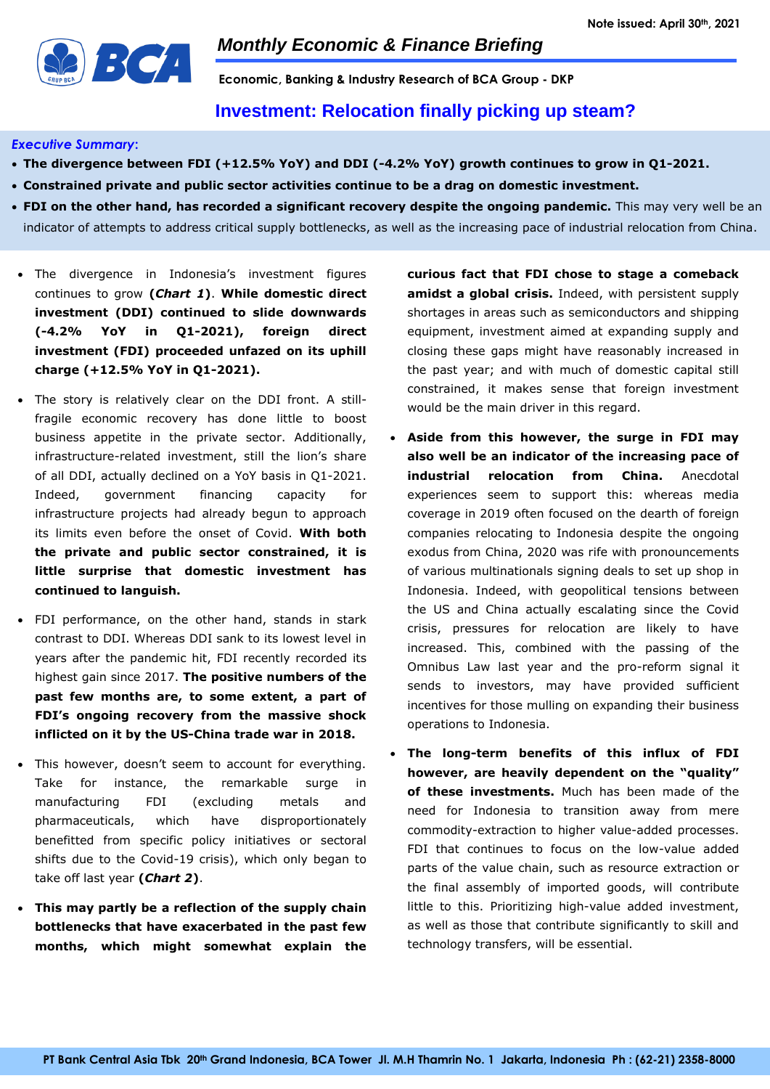

**Economic, Banking & Industry Research of BCA Group - DKP**

## **Investment: Relocation finally picking up steam?**

#### *Executive Summary***:**

- **The divergence between FDI (+12.5% YoY) and DDI (-4.2% YoY) growth continues to grow in Q1-2021.**
- **Constrained private and public sector activities continue to be a drag on domestic investment.**
- **FDI on the other hand, has recorded a significant recovery despite the ongoing pandemic.** This may very well be an indicator of attempts to address critical supply bottlenecks, as well as the increasing pace of industrial relocation from China.
- The divergence in Indonesia's investment figures continues to grow **(***Chart 1***)**. **While domestic direct investment (DDI) continued to slide downwards (-4.2% YoY in Q1-2021), foreign direct investment (FDI) proceeded unfazed on its uphill charge (+12.5% YoY in Q1-2021).**
- The story is relatively clear on the DDI front. A stillfragile economic recovery has done little to boost business appetite in the private sector. Additionally, infrastructure-related investment, still the lion's share of all DDI, actually declined on a YoY basis in Q1-2021. Indeed, government financing capacity for infrastructure projects had already begun to approach its limits even before the onset of Covid. **With both the private and public sector constrained, it is little surprise that domestic investment has continued to languish.**
- FDI performance, on the other hand, stands in stark contrast to DDI. Whereas DDI sank to its lowest level in years after the pandemic hit, FDI recently recorded its highest gain since 2017. **The positive numbers of the past few months are, to some extent, a part of FDI's ongoing recovery from the massive shock inflicted on it by the US-China trade war in 2018.**
- This however, doesn't seem to account for everything. Take for instance, the remarkable surge in manufacturing FDI (excluding metals and pharmaceuticals, which have disproportionately benefitted from specific policy initiatives or sectoral shifts due to the Covid-19 crisis), which only began to take off last year **(***Chart 2***)**.
- **This may partly be a reflection of the supply chain bottlenecks that have exacerbated in the past few months, which might somewhat explain the**

**curious fact that FDI chose to stage a comeback amidst a global crisis.** Indeed, with persistent supply shortages in areas such as semiconductors and shipping equipment, investment aimed at expanding supply and closing these gaps might have reasonably increased in the past year; and with much of domestic capital still constrained, it makes sense that foreign investment would be the main driver in this regard.

- **Aside from this however, the surge in FDI may also well be an indicator of the increasing pace of industrial relocation from China.** Anecdotal experiences seem to support this: whereas media coverage in 2019 often focused on the dearth of foreign companies relocating to Indonesia despite the ongoing exodus from China, 2020 was rife with pronouncements of various multinationals signing deals to set up shop in Indonesia. Indeed, with geopolitical tensions between the US and China actually escalating since the Covid crisis, pressures for relocation are likely to have increased. This, combined with the passing of the Omnibus Law last year and the pro-reform signal it sends to investors, may have provided sufficient incentives for those mulling on expanding their business operations to Indonesia.
- **The long-term benefits of this influx of FDI however, are heavily dependent on the "quality" of these investments.** Much has been made of the need for Indonesia to transition away from mere commodity-extraction to higher value-added processes. FDI that continues to focus on the low-value added parts of the value chain, such as resource extraction or the final assembly of imported goods, will contribute little to this. Prioritizing high-value added investment, as well as those that contribute significantly to skill and technology transfers, will be essential.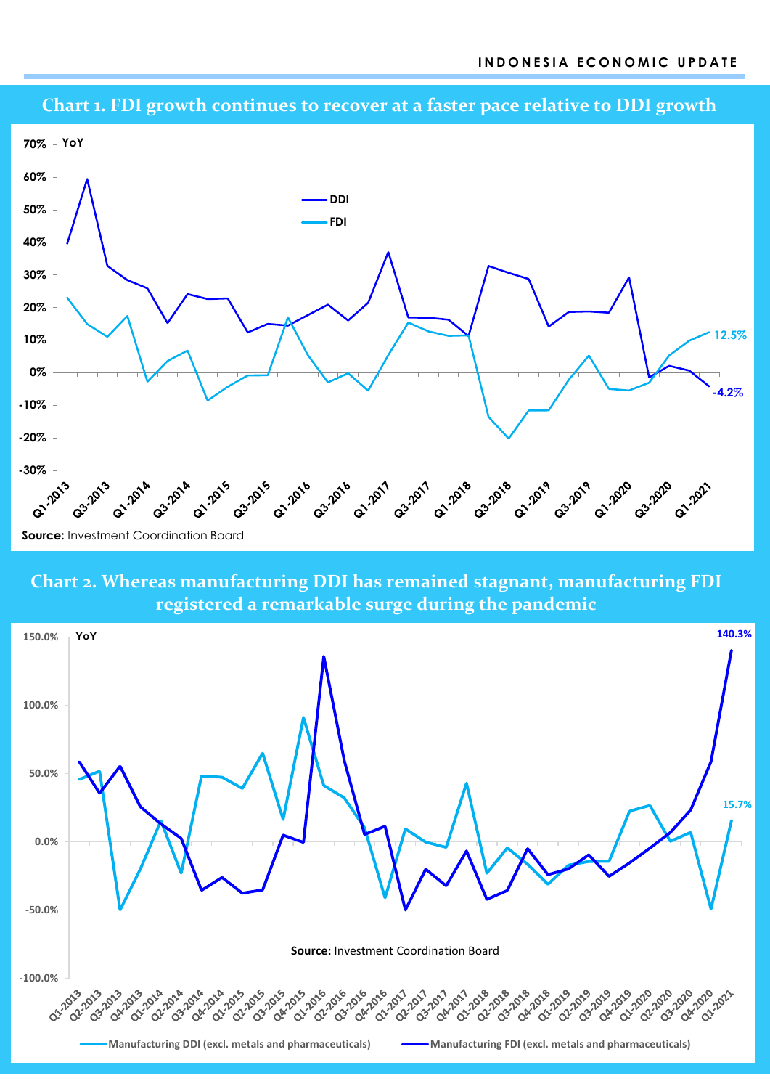





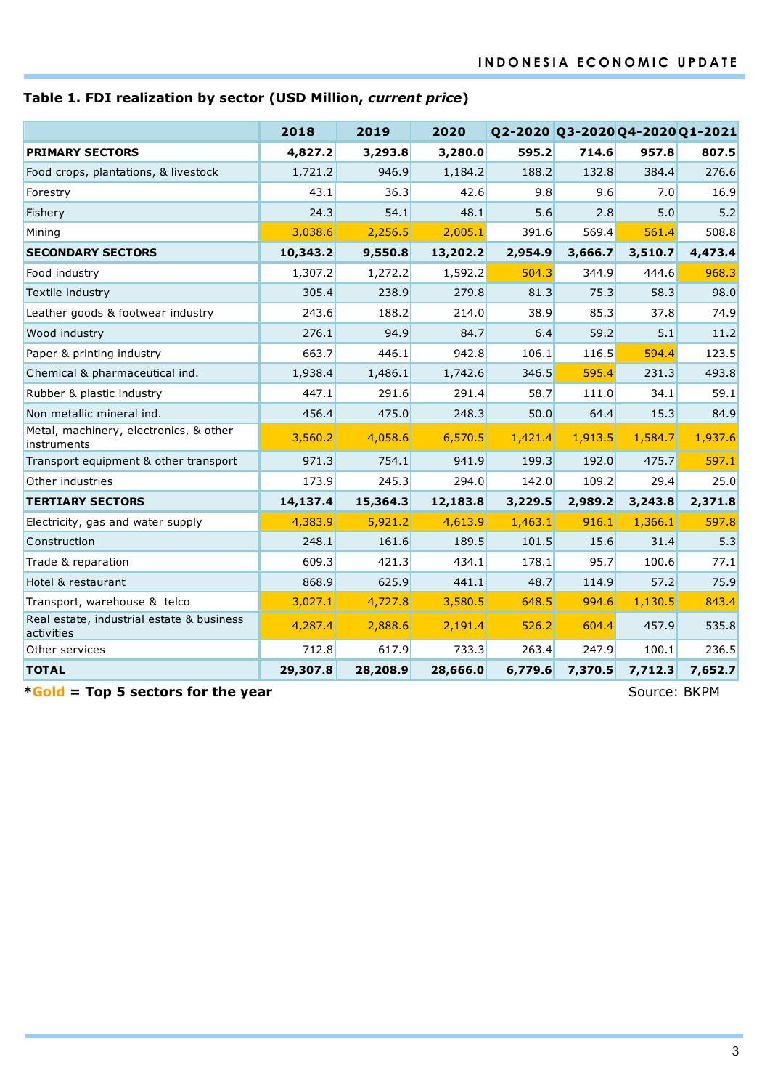# **Table 1. FDI realization by sector (USD Million,** *current price***)**

|                                                         | 2018     | 2019     | 2020     | Q2-2020 Q3-2020 Q4-2020 Q1-2021 |         |         |         |
|---------------------------------------------------------|----------|----------|----------|---------------------------------|---------|---------|---------|
| <b>PRIMARY SECTORS</b>                                  | 4,827.2  | 3,293.8  | 3,280.0  | 595.2                           | 714.6   | 957.8   | 807.5   |
| Food crops, plantations, & livestock                    | 1,721.2  | 946.9    | 1,184.2  | 188.2                           | 132.8   | 384.4   | 276.6   |
| Forestry                                                | 43.1     | 36.3     | 42.6     | 9.8                             | 9.6     | 7.0     | 16.9    |
| Fishery                                                 | 24.3     | 54.1     | 48.1     | 5.6                             | 2.8     | 5.0     | 5.2     |
| Mining                                                  | 3,038.6  | 2,256.5  | 2,005.1  | 391.6                           | 569.4   | 561.4   | 508.8   |
| <b>SECONDARY SECTORS</b>                                | 10,343.2 | 9,550.8  | 13,202.2 | 2,954.9                         | 3,666.7 | 3,510.7 | 4,473.4 |
| Food industry                                           | 1,307.2  | 1,272.2  | 1,592.2  | 504.3                           | 344.9   | 444.6   | 968.3   |
| Textile industry                                        | 305.4    | 238.9    | 279.8    | 81.3                            | 75.3    | 58.3    | 98.0    |
| Leather goods & footwear industry                       | 243.6    | 188.2    | 214.0    | 38.9                            | 85.3    | 37.8    | 74.9    |
| Wood industry                                           | 276.1    | 94.9     | 84.7     | 6.4                             | 59.2    | 5.1     | 11.2    |
| Paper & printing industry                               | 663.7    | 446.1    | 942.8    | 106.1                           | 116.5   | 594.4   | 123.5   |
| Chemical & pharmaceutical ind.                          | 1,938.4  | 1,486.1  | 1,742.6  | 346.5                           | 595.4   | 231.3   | 493.8   |
| Rubber & plastic industry                               | 447.1    | 291.6    | 291.4    | 58.7                            | 111.0   | 34.1    | 59.1    |
| Non metallic mineral ind.                               | 456.4    | 475.0    | 248.3    | 50.0                            | 64.4    | 15.3    | 84.9    |
| Metal, machinery, electronics, & other<br>instruments   | 3,560.2  | 4,058.6  | 6,570.5  | 1,421.4                         | 1,913.5 | 1,584.7 | 1,937.6 |
| Transport equipment & other transport                   | 971.3    | 754.1    | 941.9    | 199.3                           | 192.0   | 475.7   | 597.1   |
| Other industries                                        | 173.9    | 245.3    | 294.0    | 142.0                           | 109.2   | 29.4    | 25.0    |
| <b>TERTIARY SECTORS</b>                                 | 14,137.4 | 15,364.3 | 12,183.8 | 3,229.5                         | 2,989.2 | 3,243.8 | 2,371.8 |
| Electricity, gas and water supply                       | 4,383.9  | 5,921.2  | 4,613.9  | 1,463.1                         | 916.1   | 1,366.1 | 597.8   |
| Construction                                            | 248.1    | 161.6    | 189.5    | 101.5                           | 15.6    | 31.4    | 5.3     |
| Trade & reparation                                      | 609.3    | 421.3    | 434.1    | 178.1                           | 95.7    | 100.6   | 77.1    |
| Hotel & restaurant                                      | 868.9    | 625.9    | 441.1    | 48.7                            | 114.9   | 57.2    | 75.9    |
| Transport, warehouse & telco                            | 3,027.1  | 4,727.8  | 3,580.5  | 648.5                           | 994.6   | 1,130.5 | 843.4   |
| Real estate, industrial estate & business<br>activities | 4,287.4  | 2,888.6  | 2,191.4  | 526.2                           | 604.4   | 457.9   | 535.8   |
| Other services                                          | 712.8    | 617.9    | 733.3    | 263.4                           | 247.9   | 100.1   | 236.5   |
| <b>TOTAL</b>                                            | 29,307.8 | 28,208.9 | 28,666.0 | 6,779.6                         | 7,370.5 | 7,712.3 | 7,652.7 |

**\*Gold = Top 5 sectors for the year** Source: BKPM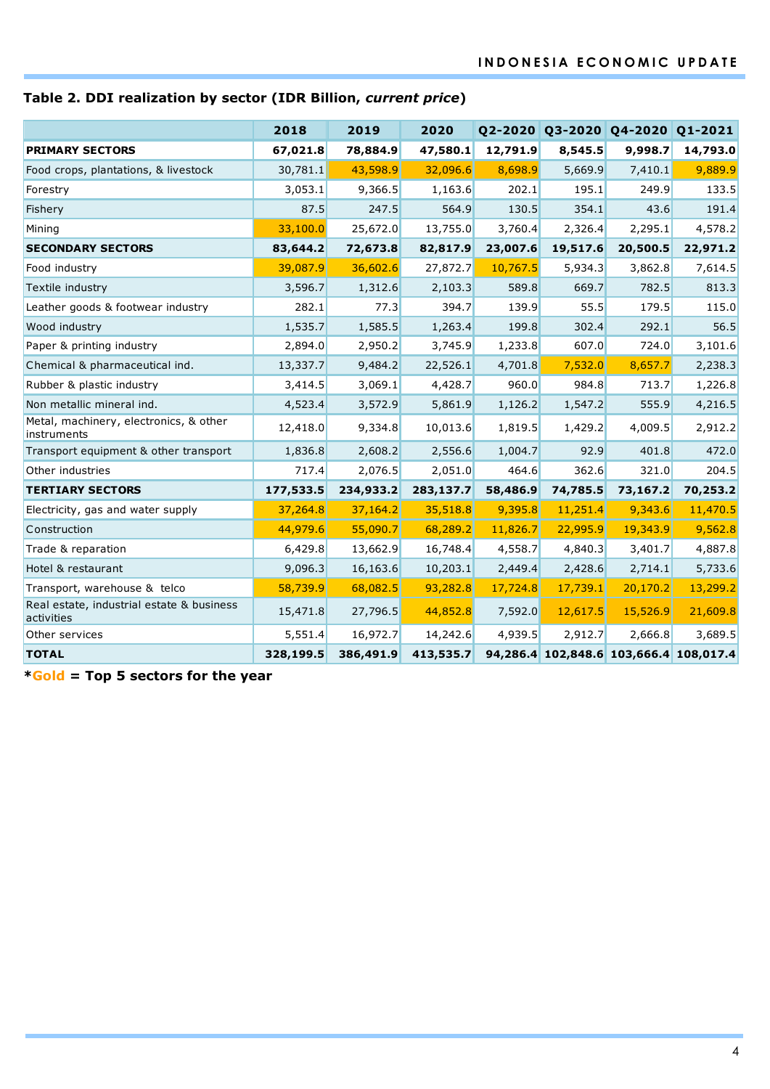# **Table 2. DDI realization by sector (IDR Billion,** *current price***)**

|                                                         | 2018      | 2019      | 2020      |          |          | Q2-2020 Q3-2020 Q4-2020 Q1-2021        |          |
|---------------------------------------------------------|-----------|-----------|-----------|----------|----------|----------------------------------------|----------|
| <b>PRIMARY SECTORS</b>                                  | 67,021.8  | 78,884.9  | 47,580.1  | 12,791.9 | 8,545.5  | 9,998.7                                | 14,793.0 |
| Food crops, plantations, & livestock                    | 30,781.1  | 43,598.9  | 32,096.6  | 8,698.9  | 5,669.9  | 7,410.1                                | 9,889.9  |
| Forestry                                                | 3,053.1   | 9,366.5   | 1,163.6   | 202.1    | 195.1    | 249.9                                  | 133.5    |
| Fishery                                                 | 87.5      | 247.5     | 564.9     | 130.5    | 354.1    | 43.6                                   | 191.4    |
| Mining                                                  | 33,100.0  | 25,672.0  | 13,755.0  | 3,760.4  | 2,326.4  | 2,295.1                                | 4,578.2  |
| <b>SECONDARY SECTORS</b>                                | 83,644.2  | 72,673.8  | 82,817.9  | 23,007.6 | 19,517.6 | 20,500.5                               | 22,971.2 |
| Food industry                                           | 39,087.9  | 36,602.6  | 27,872.7  | 10,767.5 | 5,934.3  | 3,862.8                                | 7,614.5  |
| Textile industry                                        | 3,596.7   | 1,312.6   | 2,103.3   | 589.8    | 669.7    | 782.5                                  | 813.3    |
| Leather goods & footwear industry                       | 282.1     | 77.3      | 394.7     | 139.9    | 55.5     | 179.5                                  | 115.0    |
| Wood industry                                           | 1,535.7   | 1,585.5   | 1,263.4   | 199.8    | 302.4    | 292.1                                  | 56.5     |
| Paper & printing industry                               | 2,894.0   | 2,950.2   | 3,745.9   | 1,233.8  | 607.0    | 724.0                                  | 3,101.6  |
| Chemical & pharmaceutical ind.                          | 13,337.7  | 9,484.2   | 22,526.1  | 4,701.8  | 7,532.0  | 8,657.7                                | 2,238.3  |
| Rubber & plastic industry                               | 3,414.5   | 3,069.1   | 4,428.7   | 960.0    | 984.8    | 713.7                                  | 1,226.8  |
| Non metallic mineral ind.                               | 4,523.4   | 3,572.9   | 5,861.9   | 1,126.2  | 1,547.2  | 555.9                                  | 4,216.5  |
| Metal, machinery, electronics, & other<br>instruments   | 12,418.0  | 9,334.8   | 10,013.6  | 1,819.5  | 1,429.2  | 4,009.5                                | 2,912.2  |
| Transport equipment & other transport                   | 1,836.8   | 2,608.2   | 2,556.6   | 1,004.7  | 92.9     | 401.8                                  | 472.0    |
| Other industries                                        | 717.4     | 2,076.5   | 2,051.0   | 464.6    | 362.6    | 321.0                                  | 204.5    |
| <b>TERTIARY SECTORS</b>                                 | 177,533.5 | 234,933.2 | 283,137.7 | 58,486.9 | 74,785.5 | 73,167.2                               | 70,253.2 |
| Electricity, gas and water supply                       | 37,264.8  | 37,164.2  | 35,518.8  | 9,395.8  | 11,251.4 | 9,343.6                                | 11,470.5 |
| Construction                                            | 44,979.6  | 55,090.7  | 68,289.2  | 11,826.7 | 22,995.9 | 19,343.9                               | 9,562.8  |
| Trade & reparation                                      | 6,429.8   | 13,662.9  | 16,748.4  | 4,558.7  | 4,840.3  | 3,401.7                                | 4,887.8  |
| Hotel & restaurant                                      | 9,096.3   | 16,163.6  | 10,203.1  | 2,449.4  | 2,428.6  | 2,714.1                                | 5,733.6  |
| Transport, warehouse & telco                            | 58,739.9  | 68,082.5  | 93,282.8  | 17,724.8 | 17,739.1 | 20,170.2                               | 13,299.2 |
| Real estate, industrial estate & business<br>activities | 15,471.8  | 27,796.5  | 44,852.8  | 7,592.0  | 12,617.5 | 15,526.9                               | 21,609.8 |
| Other services                                          | 5,551.4   | 16,972.7  | 14,242.6  | 4,939.5  | 2,912.7  | 2,666.8                                | 3,689.5  |
| <b>TOTAL</b>                                            | 328,199.5 | 386,491.9 | 413,535.7 |          |          | 94,286.4 102,848.6 103,666.4 108,017.4 |          |

**\*Gold = Top 5 sectors for the year**